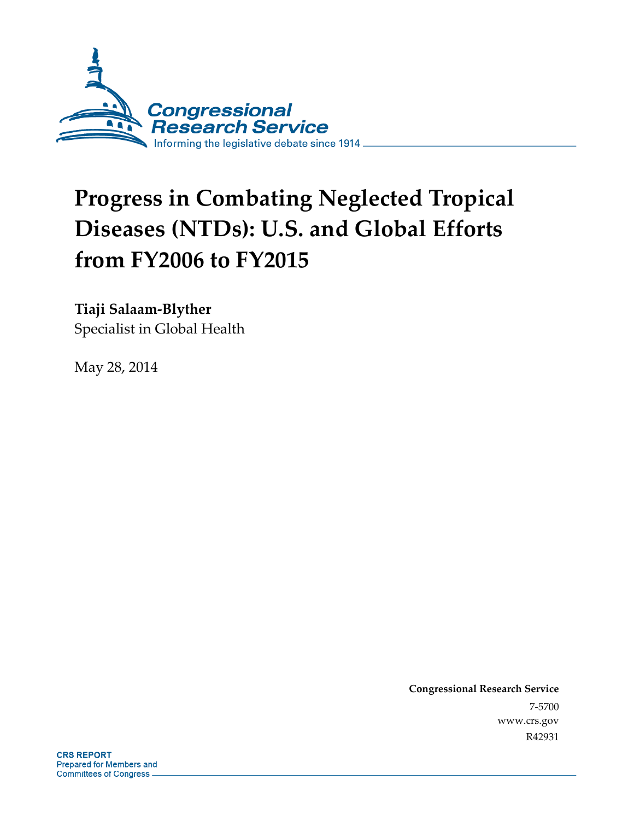

# **Progress in Combating Neglected Tropical Diseases (NTDs): U.S. and Global Efforts from FY2006 to FY2015**

# **Tiaji Salaam-Blyther**

Specialist in Global Health

May 28, 2014

**Congressional Research Service**  7-5700 www.crs.gov R42931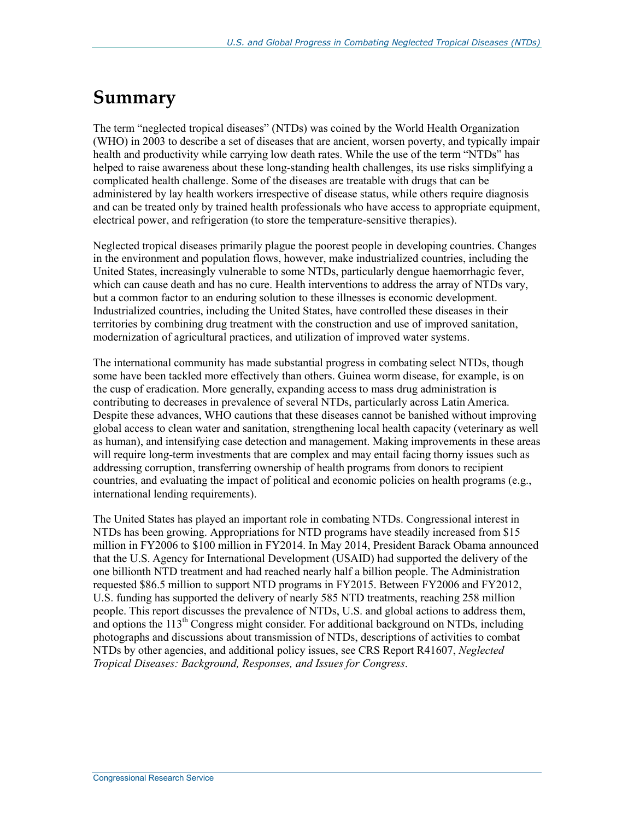## **Summary**

The term "neglected tropical diseases" (NTDs) was coined by the World Health Organization (WHO) in 2003 to describe a set of diseases that are ancient, worsen poverty, and typically impair health and productivity while carrying low death rates. While the use of the term "NTDs" has helped to raise awareness about these long-standing health challenges, its use risks simplifying a complicated health challenge. Some of the diseases are treatable with drugs that can be administered by lay health workers irrespective of disease status, while others require diagnosis and can be treated only by trained health professionals who have access to appropriate equipment, electrical power, and refrigeration (to store the temperature-sensitive therapies).

Neglected tropical diseases primarily plague the poorest people in developing countries. Changes in the environment and population flows, however, make industrialized countries, including the United States, increasingly vulnerable to some NTDs, particularly dengue haemorrhagic fever, which can cause death and has no cure. Health interventions to address the array of NTDs vary, but a common factor to an enduring solution to these illnesses is economic development. Industrialized countries, including the United States, have controlled these diseases in their territories by combining drug treatment with the construction and use of improved sanitation, modernization of agricultural practices, and utilization of improved water systems.

The international community has made substantial progress in combating select NTDs, though some have been tackled more effectively than others. Guinea worm disease, for example, is on the cusp of eradication. More generally, expanding access to mass drug administration is contributing to decreases in prevalence of several NTDs, particularly across Latin America. Despite these advances, WHO cautions that these diseases cannot be banished without improving global access to clean water and sanitation, strengthening local health capacity (veterinary as well as human), and intensifying case detection and management. Making improvements in these areas will require long-term investments that are complex and may entail facing thorny issues such as addressing corruption, transferring ownership of health programs from donors to recipient countries, and evaluating the impact of political and economic policies on health programs (e.g., international lending requirements).

The United States has played an important role in combating NTDs. Congressional interest in NTDs has been growing. Appropriations for NTD programs have steadily increased from \$15 million in FY2006 to \$100 million in FY2014. In May 2014, President Barack Obama announced that the U.S. Agency for International Development (USAID) had supported the delivery of the one billionth NTD treatment and had reached nearly half a billion people. The Administration requested \$86.5 million to support NTD programs in FY2015. Between FY2006 and FY2012, U.S. funding has supported the delivery of nearly 585 NTD treatments, reaching 258 million people. This report discusses the prevalence of NTDs, U.S. and global actions to address them, and options the  $113<sup>th</sup>$  Congress might consider. For additional background on NTDs, including photographs and discussions about transmission of NTDs, descriptions of activities to combat NTDs by other agencies, and additional policy issues, see CRS Report R41607, *Neglected Tropical Diseases: Background, Responses, and Issues for Congress*.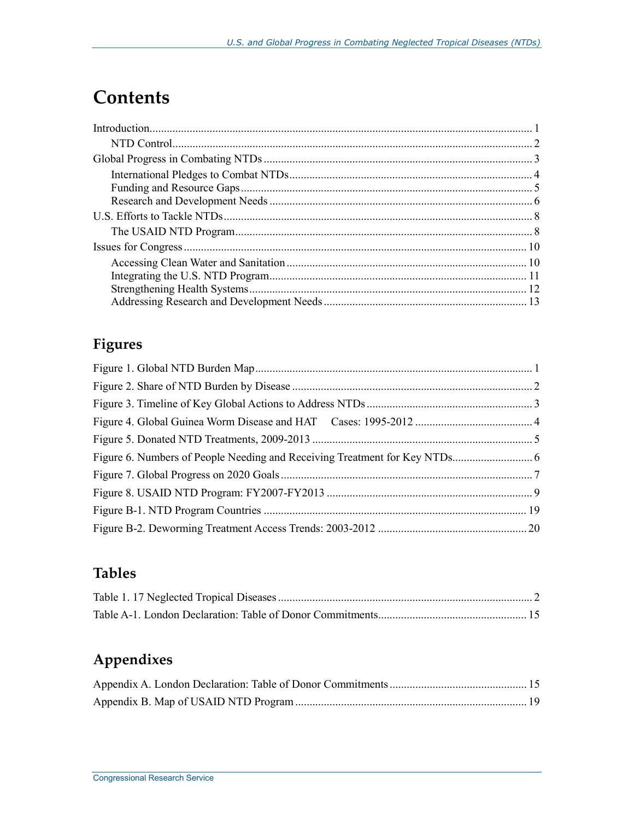# **Contents**

### **Figures**

### **Tables**

## **Appendixes**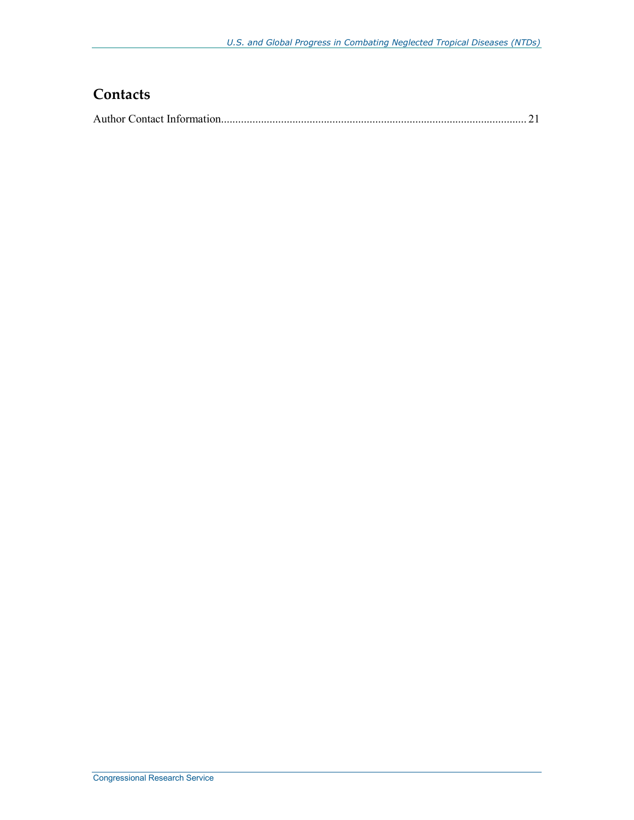### **Contacts**

|--|--|--|--|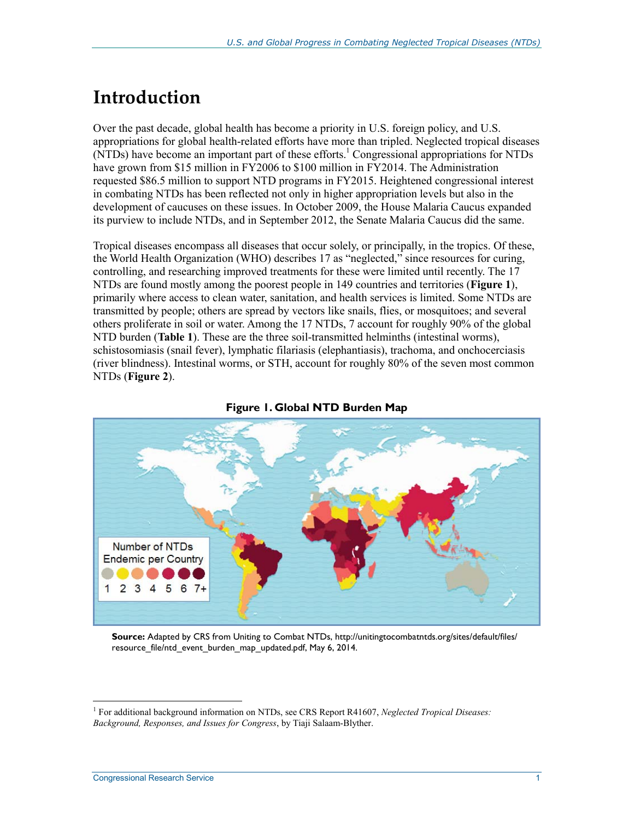# **Introduction**

Over the past decade, global health has become a priority in U.S. foreign policy, and U.S. appropriations for global health-related efforts have more than tripled. Neglected tropical diseases  $(NTDs)$  have become an important part of these efforts.<sup>1</sup> Congressional appropriations for NTDs have grown from \$15 million in FY2006 to \$100 million in FY2014. The Administration requested \$86.5 million to support NTD programs in FY2015. Heightened congressional interest in combating NTDs has been reflected not only in higher appropriation levels but also in the development of caucuses on these issues. In October 2009, the House Malaria Caucus expanded its purview to include NTDs, and in September 2012, the Senate Malaria Caucus did the same.

Tropical diseases encompass all diseases that occur solely, or principally, in the tropics. Of these, the World Health Organization (WHO) describes 17 as "neglected," since resources for curing, controlling, and researching improved treatments for these were limited until recently. The 17 NTDs are found mostly among the poorest people in 149 countries and territories (**Figure 1**), primarily where access to clean water, sanitation, and health services is limited. Some NTDs are transmitted by people; others are spread by vectors like snails, flies, or mosquitoes; and several others proliferate in soil or water. Among the 17 NTDs, 7 account for roughly 90% of the global NTD burden (**Table 1**). These are the three soil-transmitted helminths (intestinal worms), schistosomiasis (snail fever), lymphatic filariasis (elephantiasis), trachoma, and onchocerciasis (river blindness). Intestinal worms, or STH, account for roughly 80% of the seven most common NTDs (**Figure 2**).



#### **Figure 1. Global NTD Burden Map**

**Source:** Adapted by CRS from Uniting to Combat NTDs, http://unitingtocombatntds.org/sites/default/files/ resource file/ntd event burden map updated.pdf, May 6, 2014.

<sup>1</sup> For additional background information on NTDs, see CRS Report R41607, *Neglected Tropical Diseases: Background, Responses, and Issues for Congress*, by Tiaji Salaam-Blyther.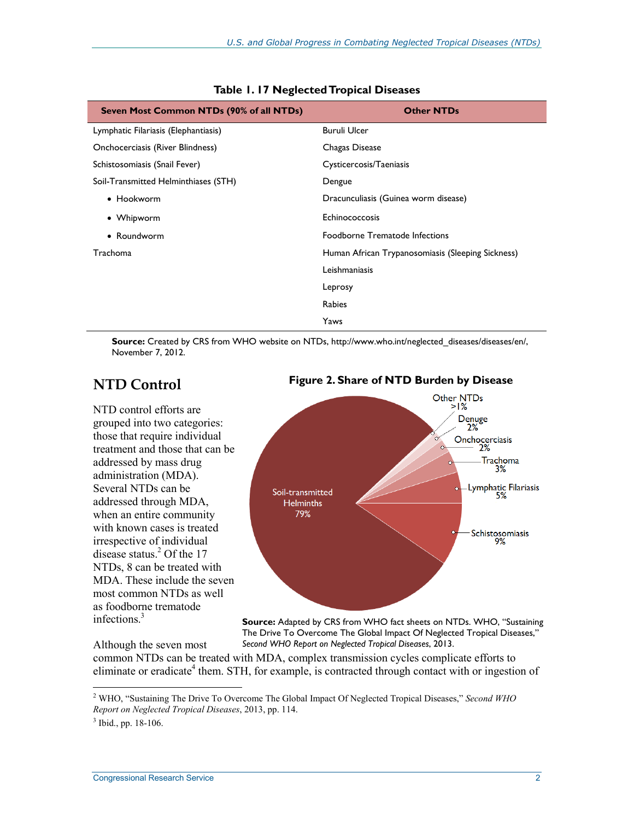| Seven Most Common NTDs (90% of all NTDs) | <b>Other NTDs</b>                                 |
|------------------------------------------|---------------------------------------------------|
| Lymphatic Filariasis (Elephantiasis)     | <b>Buruli Ulcer</b>                               |
| Onchocerciasis (River Blindness)         | Chagas Disease                                    |
| Schistosomiasis (Snail Fever)            | Cysticercosis/Taeniasis                           |
| Soil-Transmitted Helminthiases (STH)     | Dengue                                            |
| • Hookworm                               | Dracunculiasis (Guinea worm disease)              |
| • Whipworm                               | Echinococcosis                                    |
| • Roundworm                              | Foodborne Trematode Infections                    |
| <b>Trachoma</b>                          | Human African Trypanosomiasis (Sleeping Sickness) |
|                                          | Leishmaniasis                                     |
|                                          | Leprosy                                           |
|                                          | <b>Rabies</b>                                     |
|                                          | Yaws                                              |

**Table 1. 17 Neglected Tropical Diseases** 

**Source:** Created by CRS from WHO website on NTDs, http://www.who.int/neglected\_diseases/diseases/en/, November 7, 2012.

### **NTD Control**

NTD control efforts are grouped into two categories: those that require individual treatment and those that can be addressed by mass drug administration (MDA). Several NTDs can be addressed through MDA, when an entire community with known cases is treated irrespective of individual disease status.<sup>2</sup> Of the 17 NTDs, 8 can be treated with MDA. These include the seven most common NTDs as well as foodborne trematode infections.<sup>3</sup>

#### **Figure 2. Share of NTD Burden by Disease**



**Source:** Adapted by CRS from WHO fact sheets on NTDs. WHO, "Sustaining The Drive To Overcome The Global Impact Of Neglected Tropical Diseases," *Second WHO Report on Neglected Tropical Diseases*, 2013.

common NTDs can be treated with MDA, complex transmission cycles complicate efforts to eliminate or eradicate<sup>4</sup> them. STH, for example, is contracted through contact with or ingestion of

1

Although the seven most

<sup>2</sup> WHO, "Sustaining The Drive To Overcome The Global Impact Of Neglected Tropical Diseases," *Second WHO Report on Neglected Tropical Diseases*, 2013, pp. 114.

<sup>&</sup>lt;sup>3</sup> Ibid., pp. 18-106.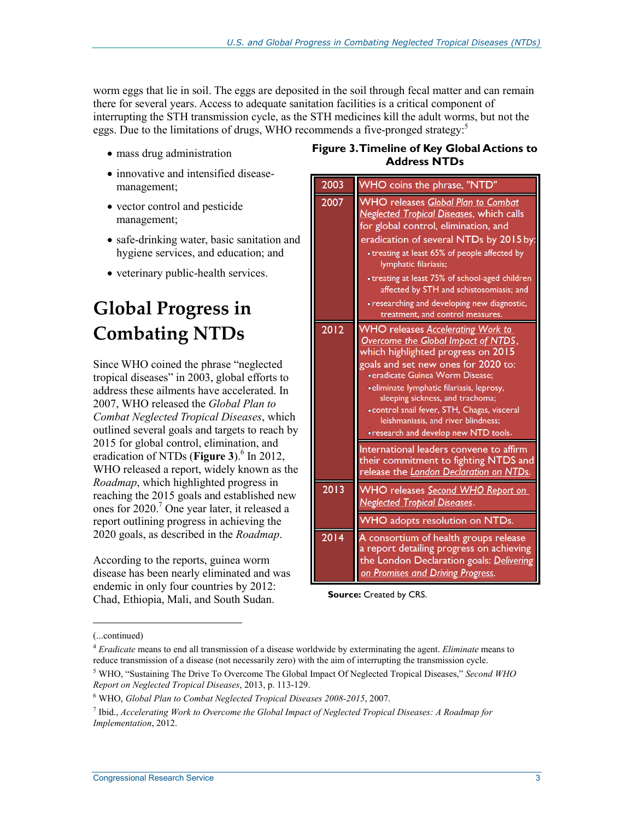worm eggs that lie in soil. The eggs are deposited in the soil through fecal matter and can remain there for several years. Access to adequate sanitation facilities is a critical component of interrupting the STH transmission cycle, as the STH medicines kill the adult worms, but not the eggs. Due to the limitations of drugs, WHO recommends a five-pronged strategy:<sup>5</sup>

- mass drug administration
- innovative and intensified diseasemanagement;
- vector control and pesticide management;
- safe-drinking water, basic sanitation and hygiene services, and education; and
- veterinary public-health services.

# **Global Progress in Combating NTDs**

Since WHO coined the phrase "neglected tropical diseases" in 2003, global efforts to address these ailments have accelerated. In 2007, WHO released the *Global Plan to Combat Neglected Tropical Diseases*, which outlined several goals and targets to reach by 2015 for global control, elimination, and eradication of NTDs (Figure 3).<sup>6</sup> In 2012, WHO released a report, widely known as the *Roadmap*, which highlighted progress in reaching the 2015 goals and established new ones for 2020.7 One year later, it released a report outlining progress in achieving the 2020 goals, as described in the *Roadmap*.

According to the reports, guinea worm disease has been nearly eliminated and was endemic in only four countries by 2012: Chad, Ethiopia, Mali, and South Sudan.

#### **Figure 3. Timeline of Key Global Actions to Address NTDs**



**Source: Created by CRS.** 

<sup>(...</sup>continued)

<sup>4</sup> *Eradicate* means to end all transmission of a disease worldwide by exterminating the agent. *Eliminate* means to reduce transmission of a disease (not necessarily zero) with the aim of interrupting the transmission cycle.

<sup>5</sup> WHO, "Sustaining The Drive To Overcome The Global Impact Of Neglected Tropical Diseases," *Second WHO Report on Neglected Tropical Diseases*, 2013, p. 113-129.

<sup>6</sup> WHO, *Global Plan to Combat Neglected Tropical Diseases 2008-2015*, 2007.

<sup>7</sup> Ibid., *Accelerating Work to Overcome the Global Impact of Neglected Tropical Diseases: A Roadmap for Implementation*, 2012.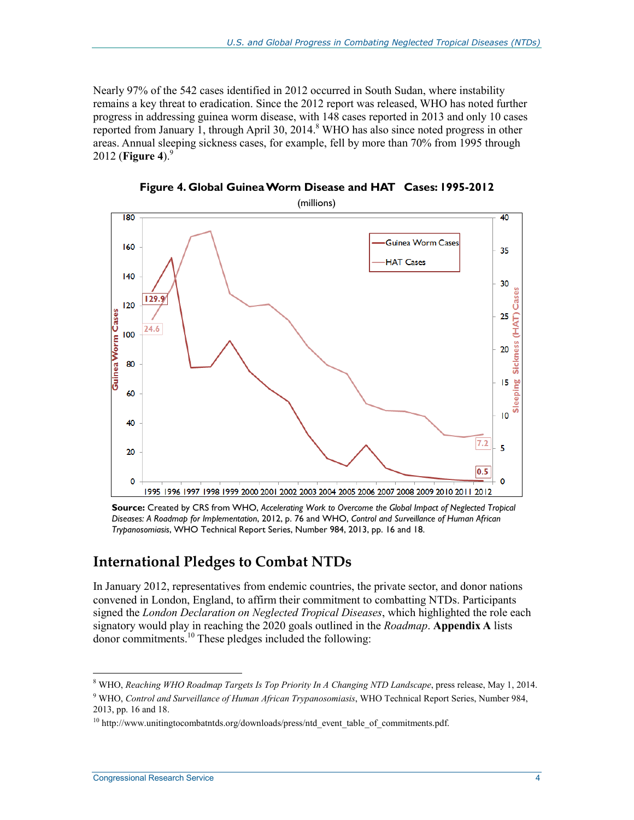Nearly 97% of the 542 cases identified in 2012 occurred in South Sudan, where instability remains a key threat to eradication. Since the 2012 report was released, WHO has noted further progress in addressing guinea worm disease, with 148 cases reported in 2013 and only 10 cases reported from January 1, through April 30, 2014.<sup>8</sup> WHO has also since noted progress in other areas. Annual sleeping sickness cases, for example, fell by more than 70% from 1995 through 2012 (**Figure 4**).9



**Figure 4. Global Guinea Worm Disease and HAT Cases: 1995-2012** 

**Source:** Created by CRS from WHO, *Accelerating Work to Overcome the Global Impact of Neglected Tropical Diseases: A Roadmap for Implementation*, 2012, p. 76 and WHO, *Control and Surveillance of Human African Trypanosomiasis*, WHO Technical Report Series, Number 984, 2013, pp. 16 and 18.

### **International Pledges to Combat NTDs**

In January 2012, representatives from endemic countries, the private sector, and donor nations convened in London, England, to affirm their commitment to combatting NTDs. Participants signed the *London Declaration on Neglected Tropical Diseases*, which highlighted the role each signatory would play in reaching the 2020 goals outlined in the *Roadmap*. **Appendix A** lists donor commitments.10 These pledges included the following:

<sup>8</sup> WHO, *Reaching WHO Roadmap Targets Is Top Priority In A Changing NTD Landscape*, press release, May 1, 2014.

<sup>9</sup> WHO, *Control and Surveillance of Human African Trypanosomiasis*, WHO Technical Report Series, Number 984, 2013, pp. 16 and 18.

 $10$  http://www.unitingtocombatntds.org/downloads/press/ntd\_event\_table\_of\_commitments.pdf.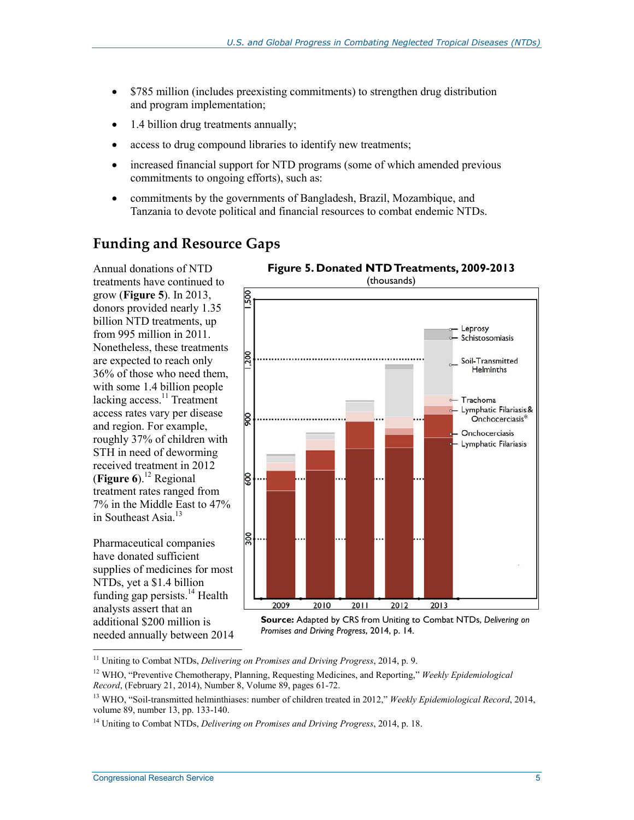- \$785 million (includes preexisting commitments) to strengthen drug distribution and program implementation;
- 1.4 billion drug treatments annually;
- access to drug compound libraries to identify new treatments;
- increased financial support for NTD programs (some of which amended previous commitments to ongoing efforts), such as:
- commitments by the governments of Bangladesh, Brazil, Mozambique, and Tanzania to devote political and financial resources to combat endemic NTDs.

### **Funding and Resource Gaps**

Annual donations of NTD treatments have continued to grow (**Figure 5**). In 2013, donors provided nearly 1.35 billion NTD treatments, up from 995 million in 2011. Nonetheless, these treatments are expected to reach only 36% of those who need them, with some 1.4 billion people lacking access. $\frac{11}{11}$  Treatment access rates vary per disease and region. For example, roughly 37% of children with STH in need of deworming received treatment in 2012 (**Figure 6**).<sup>12</sup> Regional treatment rates ranged from 7% in the Middle East to 47% in Southeast Asia.<sup>13</sup>

Pharmaceutical companies have donated sufficient supplies of medicines for most NTDs, yet a \$1.4 billion funding gap persists. $^{14}$  Health analysts assert that an additional \$200 million is needed annually between 2014

<u>.</u>



**Source:** Adapted by CRS from Uniting to Combat NTDs, *Delivering on Promises and Driving Progress*, 2014, p. 14.

<sup>11</sup> Uniting to Combat NTDs, *Delivering on Promises and Driving Progress*, 2014, p. 9.

<sup>12</sup> WHO, "Preventive Chemotherapy, Planning, Requesting Medicines, and Reporting," *Weekly Epidemiological Record*, (February 21, 2014), Number 8, Volume 89, pages 61-72.

<sup>&</sup>lt;sup>13</sup> WHO, "Soil-transmitted helminthiases: number of children treated in 2012," Weekly Epidemiological Record, 2014, volume 89, number 13, pp. 133-140.

<sup>14</sup> Uniting to Combat NTDs, *Delivering on Promises and Driving Progress*, 2014, p. 18.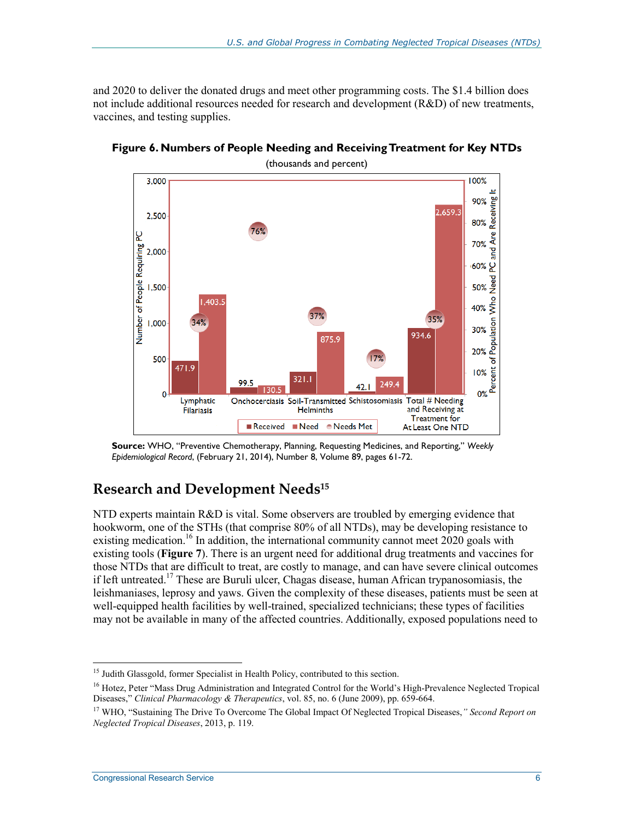and 2020 to deliver the donated drugs and meet other programming costs. The \$1.4 billion does not include additional resources needed for research and development (R&D) of new treatments, vaccines, and testing supplies.



**Figure 6. Numbers of People Needing and Receiving Treatment for Key NTDs** 

### **Research and Development Needs15**

NTD experts maintain R&D is vital. Some observers are troubled by emerging evidence that hookworm, one of the STHs (that comprise 80% of all NTDs), may be developing resistance to existing medication.<sup>16</sup> In addition, the international community cannot meet  $2020$  goals with existing tools (**Figure 7**). There is an urgent need for additional drug treatments and vaccines for those NTDs that are difficult to treat, are costly to manage, and can have severe clinical outcomes if left untreated.17 These are Buruli ulcer, Chagas disease, human African trypanosomiasis, the leishmaniases, leprosy and yaws. Given the complexity of these diseases, patients must be seen at well-equipped health facilities by well-trained, specialized technicians; these types of facilities may not be available in many of the affected countries. Additionally, exposed populations need to

**Source:** WHO, "Preventive Chemotherapy, Planning, Requesting Medicines, and Reporting," *Weekly Epidemiological Record*, (February 21, 2014), Number 8, Volume 89, pages 61-72.

<sup>&</sup>lt;sup>15</sup> Judith Glassgold, former Specialist in Health Policy, contributed to this section.

<sup>&</sup>lt;sup>16</sup> Hotez, Peter "Mass Drug Administration and Integrated Control for the World's High-Prevalence Neglected Tropical Diseases," *Clinical Pharmacology & Therapeutics*, vol. 85, no. 6 (June 2009), pp. 659-664.

<sup>17</sup> WHO, "Sustaining The Drive To Overcome The Global Impact Of Neglected Tropical Diseases,*" Second Report on Neglected Tropical Diseases*, 2013, p. 119.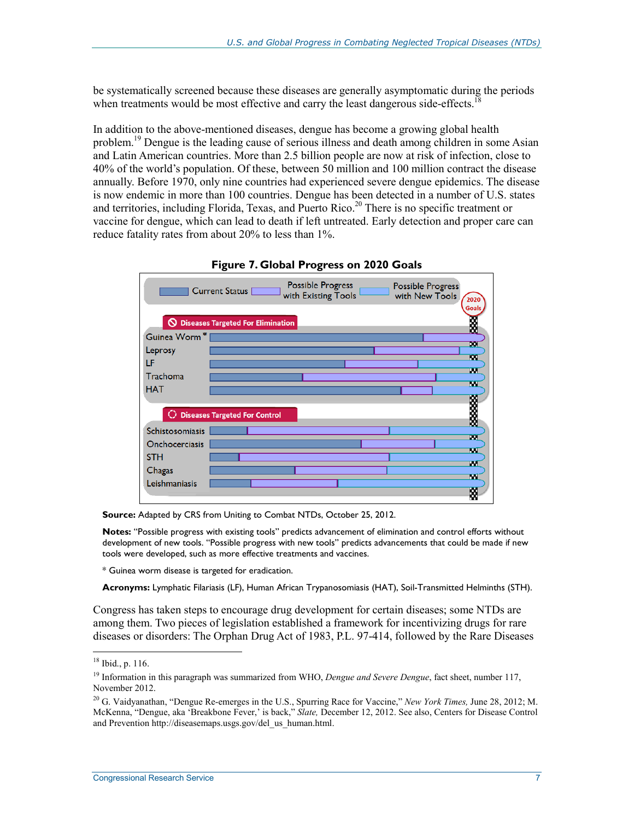be systematically screened because these diseases are generally asymptomatic during the periods when treatments would be most effective and carry the least dangerous side-effects.<sup>1</sup>

In addition to the above-mentioned diseases, dengue has become a growing global health problem.<sup>19</sup> Dengue is the leading cause of serious illness and death among children in some Asian and Latin American countries. More than 2.5 billion people are now at risk of infection, close to 40% of the world's population. Of these, between 50 million and 100 million contract the disease annually. Before 1970, only nine countries had experienced severe dengue epidemics. The disease is now endemic in more than 100 countries. Dengue has been detected in a number of U.S. states and territories, including Florida, Texas, and Puerto Rico.<sup>20</sup> There is no specific treatment or vaccine for dengue, which can lead to death if left untreated. Early detection and proper care can reduce fatality rates from about 20% to less than 1%.



**Figure 7. Global Progress on 2020 Goals** 

**Source:** Adapted by CRS from Uniting to Combat NTDs, October 25, 2012.

**Notes:** "Possible progress with existing tools" predicts advancement of elimination and control efforts without development of new tools. "Possible progress with new tools" predicts advancements that could be made if new tools were developed, such as more effective treatments and vaccines.

\* Guinea worm disease is targeted for eradication.

**Acronyms:** Lymphatic Filariasis (LF), Human African Trypanosomiasis (HAT), Soil-Transmitted Helminths (STH).

Congress has taken steps to encourage drug development for certain diseases; some NTDs are among them. Two pieces of legislation established a framework for incentivizing drugs for rare diseases or disorders: The Orphan Drug Act of 1983, P.L. 97-414, followed by the Rare Diseases

<sup>18</sup> Ibid., p. 116.

<sup>&</sup>lt;sup>19</sup> Information in this paragraph was summarized from WHO, *Dengue and Severe Dengue*, fact sheet, number 117, November 2012.

<sup>20</sup> G. Vaidyanathan, "Dengue Re-emerges in the U.S., Spurring Race for Vaccine," *New York Times,* June 28, 2012; M. McKenna, "Dengue, aka 'Breakbone Fever,' is back," *Slate,* December 12, 2012. See also, Centers for Disease Control and Prevention http://diseasemaps.usgs.gov/del\_us\_human.html.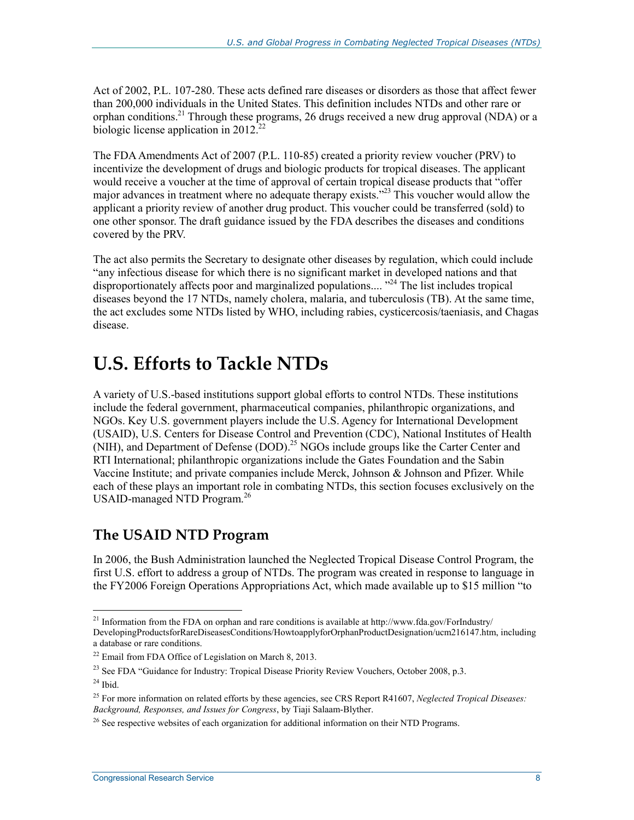Act of 2002, P.L. 107-280. These acts defined rare diseases or disorders as those that affect fewer than 200,000 individuals in the United States. This definition includes NTDs and other rare or orphan conditions.<sup>21</sup> Through these programs, 26 drugs received a new drug approval (NDA) or a biologic license application in  $2012^{22}$ 

The FDA Amendments Act of 2007 (P.L. 110-85) created a priority review voucher (PRV) to incentivize the development of drugs and biologic products for tropical diseases. The applicant would receive a voucher at the time of approval of certain tropical disease products that "offer major advances in treatment where no adequate therapy exists.<sup>23</sup> This voucher would allow the applicant a priority review of another drug product. This voucher could be transferred (sold) to one other sponsor. The draft guidance issued by the FDA describes the diseases and conditions covered by the PRV.

The act also permits the Secretary to designate other diseases by regulation, which could include "any infectious disease for which there is no significant market in developed nations and that disproportionately affects poor and marginalized populations....<sup>24</sup> The list includes tropical diseases beyond the 17 NTDs, namely cholera, malaria, and tuberculosis (TB). At the same time, the act excludes some NTDs listed by WHO, including rabies, cysticercosis/taeniasis, and Chagas disease.

## **U.S. Efforts to Tackle NTDs**

A variety of U.S.-based institutions support global efforts to control NTDs. These institutions include the federal government, pharmaceutical companies, philanthropic organizations, and NGOs. Key U.S. government players include the U.S. Agency for International Development (USAID), U.S. Centers for Disease Control and Prevention (CDC), National Institutes of Health  $(NIH)$ , and Department of Defense (DOD).<sup>25</sup> NGOs include groups like the Carter Center and RTI International; philanthropic organizations include the Gates Foundation and the Sabin Vaccine Institute; and private companies include Merck, Johnson & Johnson and Pfizer. While each of these plays an important role in combating NTDs, this section focuses exclusively on the USAID-managed NTD Program.<sup>26</sup>

### **The USAID NTD Program**

In 2006, the Bush Administration launched the Neglected Tropical Disease Control Program, the first U.S. effort to address a group of NTDs. The program was created in response to language in the FY2006 Foreign Operations Appropriations Act, which made available up to \$15 million "to

<sup>&</sup>lt;sup>21</sup> Information from the FDA on orphan and rare conditions is available at http://www.fda.gov/ForIndustry/ DevelopingProductsforRareDiseasesConditions/HowtoapplyforOrphanProductDesignation/ucm216147.htm, including a database or rare conditions.

 $22$  Email from FDA Office of Legislation on March 8, 2013.

<sup>&</sup>lt;sup>23</sup> See FDA "Guidance for Industry: Tropical Disease Priority Review Vouchers, October 2008, p.3.

 $24$  Ibid.

<sup>25</sup> For more information on related efforts by these agencies, see CRS Report R41607, *Neglected Tropical Diseases: Background, Responses, and Issues for Congress*, by Tiaji Salaam-Blyther.

 $^{26}$  See respective websites of each organization for additional information on their NTD Programs.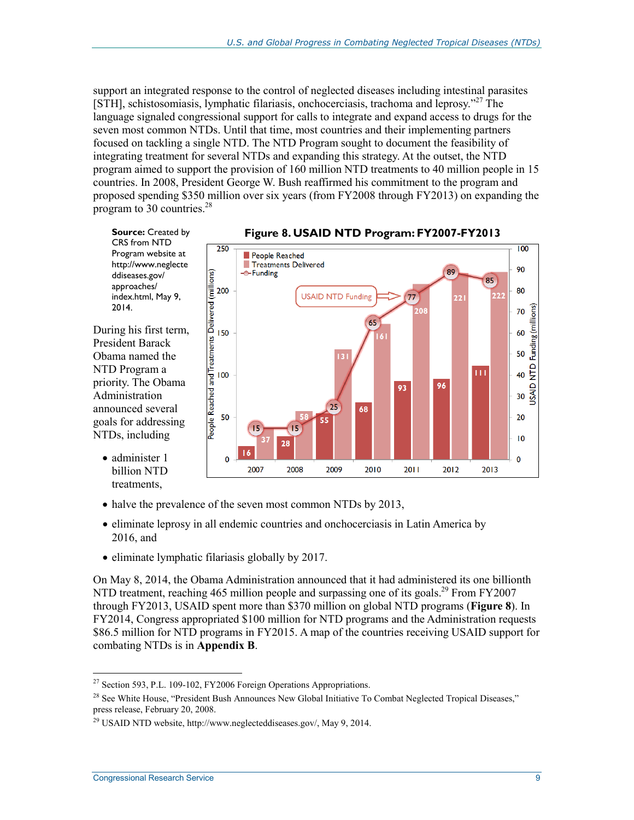support an integrated response to the control of neglected diseases including intestinal parasites [STH], schistosomiasis, lymphatic filariasis, onchocerciasis, trachoma and leprosy."27 The language signaled congressional support for calls to integrate and expand access to drugs for the seven most common NTDs. Until that time, most countries and their implementing partners focused on tackling a single NTD. The NTD Program sought to document the feasibility of integrating treatment for several NTDs and expanding this strategy. At the outset, the NTD program aimed to support the provision of 160 million NTD treatments to 40 million people in 15 countries. In 2008, President George W. Bush reaffirmed his commitment to the program and proposed spending \$350 million over six years (from FY2008 through FY2013) on expanding the program to 30 countries.<sup>28</sup>

**Source: Created by** CRS from NTD Program website at http://www.neglecte ddiseases.gov/ approaches/ index.html, May 9, 2014.

During his first term, President Barack Obama named the NTD Program a priority. The Obama Administration announced several goals for addressing NTDs, including

• administer 1 billion NTD treatments,



#### **Figure 8. USAID NTD Program: FY2007-FY2013**

- halve the prevalence of the seven most common NTDs by 2013,
- eliminate leprosy in all endemic countries and onchocerciasis in Latin America by 2016, and
- eliminate lymphatic filariasis globally by 2017.

250

On May 8, 2014, the Obama Administration announced that it had administered its one billionth NTD treatment, reaching 465 million people and surpassing one of its goals.<sup>29</sup> From FY2007 through FY2013, USAID spent more than \$370 million on global NTD programs (**Figure 8**). In FY2014, Congress appropriated \$100 million for NTD programs and the Administration requests \$86.5 million for NTD programs in FY2015. A map of the countries receiving USAID support for combating NTDs is in **Appendix B**.

1

 $^{27}$  Section 593, P.L. 109-102, FY2006 Foreign Operations Appropriations.

<sup>&</sup>lt;sup>28</sup> See White House, "President Bush Announces New Global Initiative To Combat Neglected Tropical Diseases," press release, February 20, 2008.

<sup>29</sup> USAID NTD website, http://www.neglecteddiseases.gov/, May 9, 2014.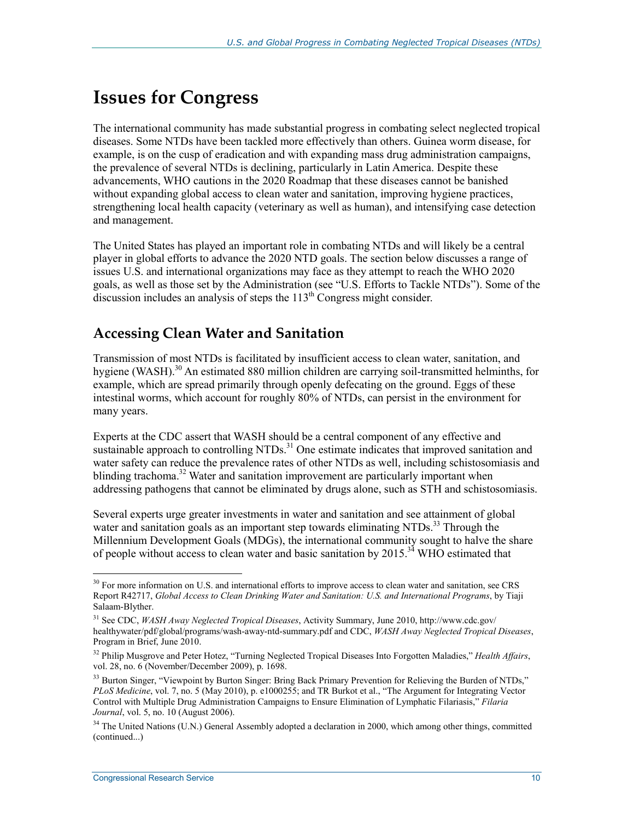# **Issues for Congress**

The international community has made substantial progress in combating select neglected tropical diseases. Some NTDs have been tackled more effectively than others. Guinea worm disease, for example, is on the cusp of eradication and with expanding mass drug administration campaigns, the prevalence of several NTDs is declining, particularly in Latin America. Despite these advancements, WHO cautions in the 2020 Roadmap that these diseases cannot be banished without expanding global access to clean water and sanitation, improving hygiene practices, strengthening local health capacity (veterinary as well as human), and intensifying case detection and management.

The United States has played an important role in combating NTDs and will likely be a central player in global efforts to advance the 2020 NTD goals. The section below discusses a range of issues U.S. and international organizations may face as they attempt to reach the WHO 2020 goals, as well as those set by the Administration (see "U.S. Efforts to Tackle NTDs"). Some of the discussion includes an analysis of steps the  $113<sup>th</sup>$  Congress might consider.

### **Accessing Clean Water and Sanitation**

Transmission of most NTDs is facilitated by insufficient access to clean water, sanitation, and hygiene (WASH).<sup>30</sup> An estimated 880 million children are carrying soil-transmitted helminths, for example, which are spread primarily through openly defecating on the ground. Eggs of these intestinal worms, which account for roughly 80% of NTDs, can persist in the environment for many years.

Experts at the CDC assert that WASH should be a central component of any effective and Experts at the CDC assert that Wilder should be a central component of  $m<sub>2</sub>$  controlling sustainable approach to controlling NTDs.<sup>31</sup> One estimate indicates that improved sanitation and water safety can reduce the prevalence rates of other NTDs as well, including schistosomiasis and blinding trachoma.<sup>32</sup> Water and sanitation improvement are particularly important when addressing pathogens that cannot be eliminated by drugs alone, such as STH and schistosomiasis.

Several experts urge greater investments in water and sanitation and see attainment of global water and sanitation goals as an important step towards eliminating NTDs.<sup>33</sup> Through the Millennium Development Goals (MDGs), the international community sought to halve the share of people without access to clean water and basic sanitation by  $2015^{34}$  WHO estimated that

<u>.</u>

 $30$  For more information on U.S. and international efforts to improve access to clean water and sanitation, see CRS Report R42717, *Global Access to Clean Drinking Water and Sanitation: U.S. and International Programs*, by Tiaji Salaam-Blyther.

<sup>31</sup> See CDC, *WASH Away Neglected Tropical Diseases*, Activity Summary, June 2010, http://www.cdc.gov/ healthywater/pdf/global/programs/wash-away-ntd-summary.pdf and CDC, *WASH Away Neglected Tropical Diseases*, Program in Brief, June 2010.

<sup>32</sup> Philip Musgrove and Peter Hotez, "Turning Neglected Tropical Diseases Into Forgotten Maladies," *Health Affairs*, vol. 28, no. 6 (November/December 2009), p. 1698.

<sup>&</sup>lt;sup>33</sup> Burton Singer, "Viewpoint by Burton Singer: Bring Back Primary Prevention for Relieving the Burden of NTDs," *PLoS Medicine*, vol. 7, no. 5 (May 2010), p. e1000255; and TR Burkot et al., "The Argument for Integrating Vector Control with Multiple Drug Administration Campaigns to Ensure Elimination of Lymphatic Filariasis," *Filaria Journal*, vol. 5, no. 10 (August 2006).

<sup>&</sup>lt;sup>34</sup> The United Nations (U.N.) General Assembly adopted a declaration in 2000, which among other things, committed (continued...)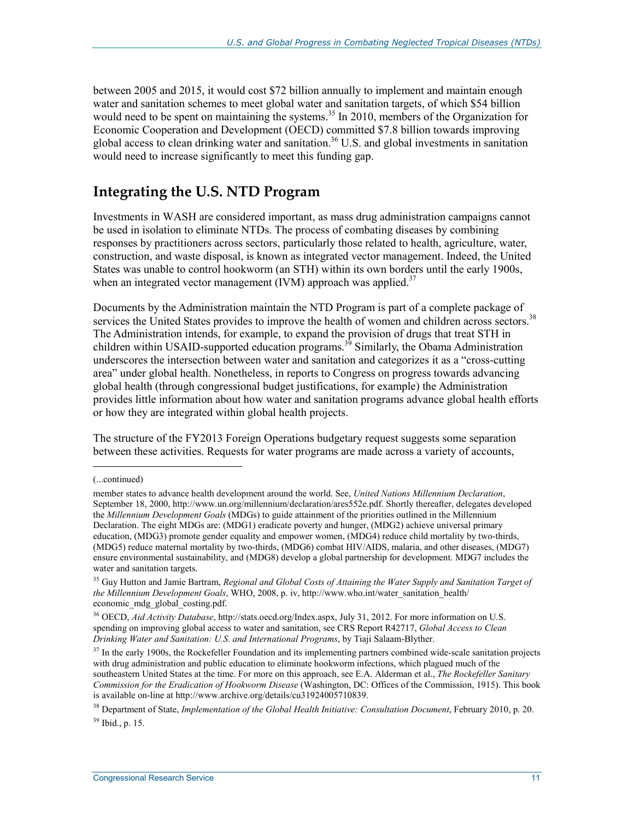between 2005 and 2015, it would cost \$72 billion annually to implement and maintain enough water and sanitation schemes to meet global water and sanitation targets, of which \$54 billion would need to be spent on maintaining the systems.<sup>35</sup> In 2010, members of the Organization for Economic Cooperation and Development (OECD) committed \$7.8 billion towards improving global access to clean drinking water and sanitation.<sup>36</sup> U.S. and global investments in sanitation would need to increase significantly to meet this funding gap.

#### **Integrating the U.S. NTD Program**

Investments in WASH are considered important, as mass drug administration campaigns cannot be used in isolation to eliminate NTDs. The process of combating diseases by combining responses by practitioners across sectors, particularly those related to health, agriculture, water, construction, and waste disposal, is known as integrated vector management. Indeed, the United States was unable to control hookworm (an STH) within its own borders until the early 1900s, when an integrated vector management (IVM) approach was applied.<sup>37</sup>

Documents by the Administration maintain the NTD Program is part of a complete package of services the United States provides to improve the health of women and children across sectors.<sup>38</sup> The Administration intends, for example, to expand the provision of drugs that treat STH in children within USAID-supported education programs.<sup>39</sup> Similarly, the Obama Administration underscores the intersection between water and sanitation and categorizes it as a "cross-cutting area" under global health. Nonetheless, in reports to Congress on progress towards advancing global health (through congressional budget justifications, for example) the Administration provides little information about how water and sanitation programs advance global health efforts or how they are integrated within global health projects.

The structure of the FY2013 Foreign Operations budgetary request suggests some separation between these activities. Requests for water programs are made across a variety of accounts,

<sup>(...</sup>continued)

member states to advance health development around the world. See, *United Nations Millennium Declaration*, September 18, 2000, http://www.un.org/millennium/declaration/ares552e.pdf. Shortly thereafter, delegates developed the *Millennium Development Goals* (MDGs) to guide attainment of the priorities outlined in the Millennium Declaration. The eight MDGs are: (MDG1) eradicate poverty and hunger, (MDG2) achieve universal primary education, (MDG3) promote gender equality and empower women, (MDG4) reduce child mortality by two-thirds, (MDG5) reduce maternal mortality by two-thirds, (MDG6) combat HIV/AIDS, malaria, and other diseases, (MDG7) ensure environmental sustainability, and (MDG8) develop a global partnership for development. MDG7 includes the water and sanitation targets.

<sup>&</sup>lt;sup>35</sup> Guv Hutton and Jamie Bartram, *Regional and Global Costs of Attaining the Water Supply and Sanitation Target of the Millennium Development Goals*, WHO, 2008, p. iv, http://www.who.int/water\_sanitation\_health/ economic\_mdg\_global\_costing.pdf.

<sup>36</sup> OECD, *Aid Activity Database*, http://stats.oecd.org/Index.aspx, July 31, 2012. For more information on U.S. spending on improving global access to water and sanitation, see CRS Report R42717, *Global Access to Clean Drinking Water and Sanitation: U.S. and International Programs*, by Tiaji Salaam-Blyther.

 $37$  In the early 1900s, the Rockefeller Foundation and its implementing partners combined wide-scale sanitation projects with drug administration and public education to eliminate hookworm infections, which plagued much of the southeastern United States at the time. For more on this approach, see E.A. Alderman et al., *The Rockefeller Sanitary Commission for the Eradication of Hookworm Disease* (Washington, DC: Offices of the Commission, 1915). This book is available on-line at http://www.archive.org/details/cu31924005710839.

<sup>38</sup> Department of State, *Implementation of the Global Health Initiative: Consultation Document*, February 2010, p. 20. 39 Ibid., p. 15.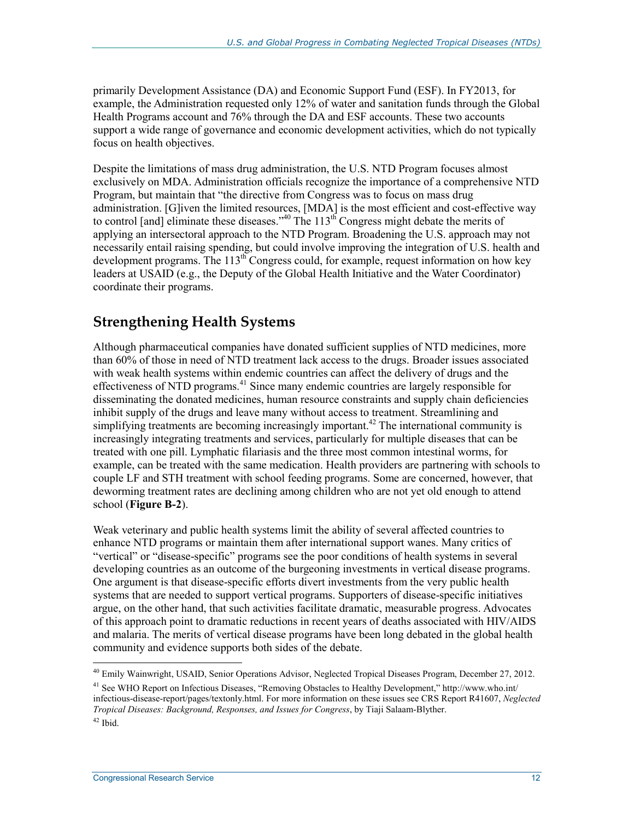primarily Development Assistance (DA) and Economic Support Fund (ESF). In FY2013, for example, the Administration requested only 12% of water and sanitation funds through the Global Health Programs account and 76% through the DA and ESF accounts. These two accounts support a wide range of governance and economic development activities, which do not typically focus on health objectives.

Despite the limitations of mass drug administration, the U.S. NTD Program focuses almost exclusively on MDA. Administration officials recognize the importance of a comprehensive NTD Program, but maintain that "the directive from Congress was to focus on mass drug administration. [G]iven the limited resources, [MDA] is the most efficient and cost-effective way to control [and] eliminate these diseases."<sup>40</sup> The  $113<sup>th</sup>$  Congress might debate the merits of applying an intersectoral approach to the NTD Program. Broadening the U.S. approach may not necessarily entail raising spending, but could involve improving the integration of U.S. health and development programs. The  $113<sup>th</sup>$  Congress could, for example, request information on how key leaders at USAID (e.g., the Deputy of the Global Health Initiative and the Water Coordinator) coordinate their programs.

### **Strengthening Health Systems**

Although pharmaceutical companies have donated sufficient supplies of NTD medicines, more than 60% of those in need of NTD treatment lack access to the drugs. Broader issues associated with weak health systems within endemic countries can affect the delivery of drugs and the effectiveness of NTD programs.<sup>41</sup> Since many endemic countries are largely responsible for disseminating the donated medicines, human resource constraints and supply chain deficiencies inhibit supply of the drugs and leave many without access to treatment. Streamlining and simplifying treatments are becoming increasingly important.<sup>42</sup> The international community is increasingly integrating treatments and services, particularly for multiple diseases that can be treated with one pill. Lymphatic filariasis and the three most common intestinal worms, for example, can be treated with the same medication. Health providers are partnering with schools to couple LF and STH treatment with school feeding programs. Some are concerned, however, that deworming treatment rates are declining among children who are not yet old enough to attend school (**Figure B-2**).

Weak veterinary and public health systems limit the ability of several affected countries to enhance NTD programs or maintain them after international support wanes. Many critics of "vertical" or "disease-specific" programs see the poor conditions of health systems in several developing countries as an outcome of the burgeoning investments in vertical disease programs. One argument is that disease-specific efforts divert investments from the very public health systems that are needed to support vertical programs. Supporters of disease-specific initiatives argue, on the other hand, that such activities facilitate dramatic, measurable progress. Advocates of this approach point to dramatic reductions in recent years of deaths associated with HIV/AIDS and malaria. The merits of vertical disease programs have been long debated in the global health community and evidence supports both sides of the debate.

<sup>1</sup> 40 Emily Wainwright, USAID, Senior Operations Advisor, Neglected Tropical Diseases Program, December 27, 2012.

<sup>&</sup>lt;sup>41</sup> See WHO Report on Infectious Diseases, "Removing Obstacles to Healthy Development," http://www.who.int/ infectious-disease-report/pages/textonly.html. For more information on these issues see CRS Report R41607, *Neglected Tropical Diseases: Background, Responses, and Issues for Congress*, by Tiaji Salaam-Blyther.

 $42$  Ibid.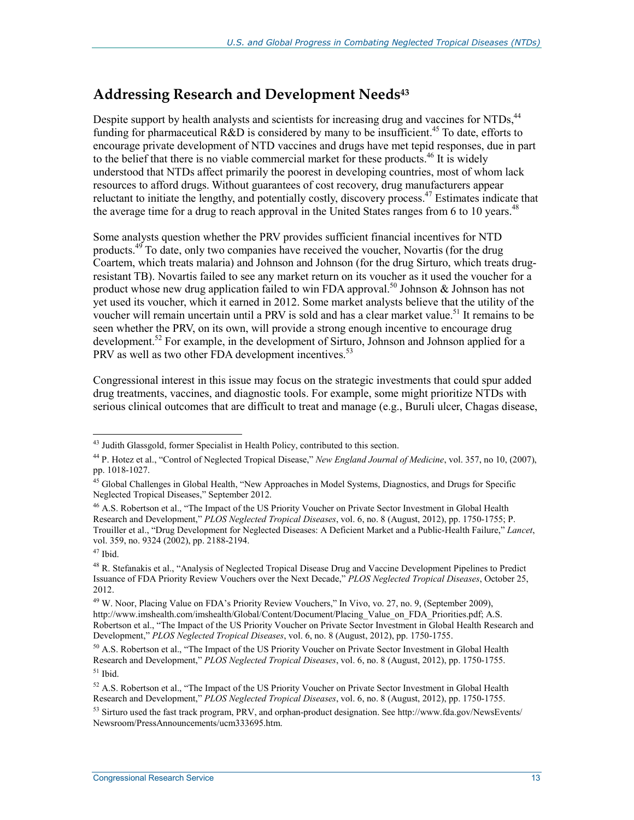### **Addressing Research and Development Needs43**

Despite support by health analysts and scientists for increasing drug and vaccines for NTDs,<sup>44</sup> funding for pharmaceutical R&D is considered by many to be insufficient.<sup>45</sup> To date, efforts to encourage private development of NTD vaccines and drugs have met tepid responses, due in part to the belief that there is no viable commercial market for these products.<sup>46</sup> It is widely understood that NTDs affect primarily the poorest in developing countries, most of whom lack resources to afford drugs. Without guarantees of cost recovery, drug manufacturers appear reluctant to initiate the lengthy, and potentially costly, discovery process.<sup>47</sup> Estimates indicate that the average time for a drug to reach approval in the United States ranges from 6 to 10 years.<sup>48</sup>

Some analysts question whether the PRV provides sufficient financial incentives for NTD products.<sup>49</sup> To date, only two companies have received the voucher, Novartis (for the drug Coartem, which treats malaria) and Johnson and Johnson (for the drug Sirturo, which treats drugresistant TB). Novartis failed to see any market return on its voucher as it used the voucher for a product whose new drug application failed to win FDA approval.<sup>50</sup> Johnson & Johnson has not yet used its voucher, which it earned in 2012. Some market analysts believe that the utility of the voucher will remain uncertain until a PRV is sold and has a clear market value.<sup>51</sup> It remains to be seen whether the PRV, on its own, will provide a strong enough incentive to encourage drug development.<sup>52</sup> For example, in the development of Sirturo, Johnson and Johnson applied for a PRV as well as two other FDA development incentives.<sup>53</sup>

Congressional interest in this issue may focus on the strategic investments that could spur added drug treatments, vaccines, and diagnostic tools. For example, some might prioritize NTDs with serious clinical outcomes that are difficult to treat and manage (e.g., Buruli ulcer, Chagas disease,

<sup>1</sup> <sup>43</sup> Judith Glassgold, former Specialist in Health Policy, contributed to this section.

<sup>44</sup> P. Hotez et al., "Control of Neglected Tropical Disease," *New England Journal of Medicine*, vol. 357, no 10, (2007), pp. 1018-1027.

<sup>&</sup>lt;sup>45</sup> Global Challenges in Global Health, "New Approaches in Model Systems, Diagnostics, and Drugs for Specific Neglected Tropical Diseases," September 2012.

<sup>46</sup> A.S. Robertson et al., "The Impact of the US Priority Voucher on Private Sector Investment in Global Health Research and Development," *PLOS Neglected Tropical Diseases*, vol. 6, no. 8 (August, 2012), pp. 1750-1755; P. Trouiller et al., "Drug Development for Neglected Diseases: A Deficient Market and a Public-Health Failure," *Lancet*, vol. 359, no. 9324 (2002), pp. 2188-2194.

 $47$  Ibid.

<sup>&</sup>lt;sup>48</sup> R. Stefanakis et al., "Analysis of Neglected Tropical Disease Drug and Vaccine Development Pipelines to Predict Issuance of FDA Priority Review Vouchers over the Next Decade," *PLOS Neglected Tropical Diseases*, October 25, 2012.

<sup>&</sup>lt;sup>49</sup> W. Noor, Placing Value on FDA's Priority Review Vouchers," In Vivo, vo. 27, no. 9, (September 2009), http://www.imshealth.com/imshealth/Global/Content/Document/Placing\_Value\_on\_FDA\_Priorities.pdf; A.S. Robertson et al., "The Impact of the US Priority Voucher on Private Sector Investment in Global Health Research and Development," *PLOS Neglected Tropical Diseases*, vol. 6, no. 8 (August, 2012), pp. 1750-1755.

 $50$  A.S. Robertson et al., "The Impact of the US Priority Voucher on Private Sector Investment in Global Health Research and Development," *PLOS Neglected Tropical Diseases*, vol. 6, no. 8 (August, 2012), pp. 1750-1755.  $51$  Ibid.

 $52$  A.S. Robertson et al., "The Impact of the US Priority Voucher on Private Sector Investment in Global Health Research and Development," *PLOS Neglected Tropical Diseases*, vol. 6, no. 8 (August, 2012), pp. 1750-1755.

 $53$  Sirturo used the fast track program, PRV, and orphan-product designation. See http://www.fda.gov/NewsEvents/ Newsroom/PressAnnouncements/ucm333695.htm.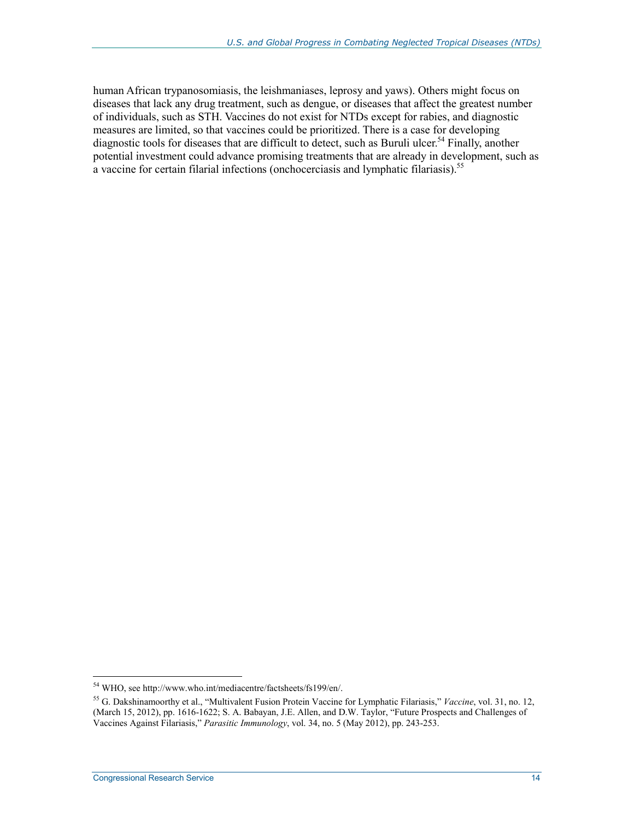human African trypanosomiasis, the leishmaniases, leprosy and yaws). Others might focus on diseases that lack any drug treatment, such as dengue, or diseases that affect the greatest number of individuals, such as STH. Vaccines do not exist for NTDs except for rabies, and diagnostic measures are limited, so that vaccines could be prioritized. There is a case for developing diagnostic tools for diseases that are difficult to detect, such as Buruli ulcer.<sup>54</sup> Finally, another potential investment could advance promising treatments that are already in development, such as a vaccine for certain filarial infections (onchocerciasis and lymphatic filariasis).<sup>55</sup>

<sup>1</sup> 54 WHO, see http://www.who.int/mediacentre/factsheets/fs199/en/.

<sup>55</sup> G. Dakshinamoorthy et al., "Multivalent Fusion Protein Vaccine for Lymphatic Filariasis," *Vaccine*, vol. 31, no. 12, (March 15, 2012), pp. 1616-1622; S. A. Babayan, J.E. Allen, and D.W. Taylor, "Future Prospects and Challenges of Vaccines Against Filariasis," *Parasitic Immunology*, vol. 34, no. 5 (May 2012), pp. 243-253.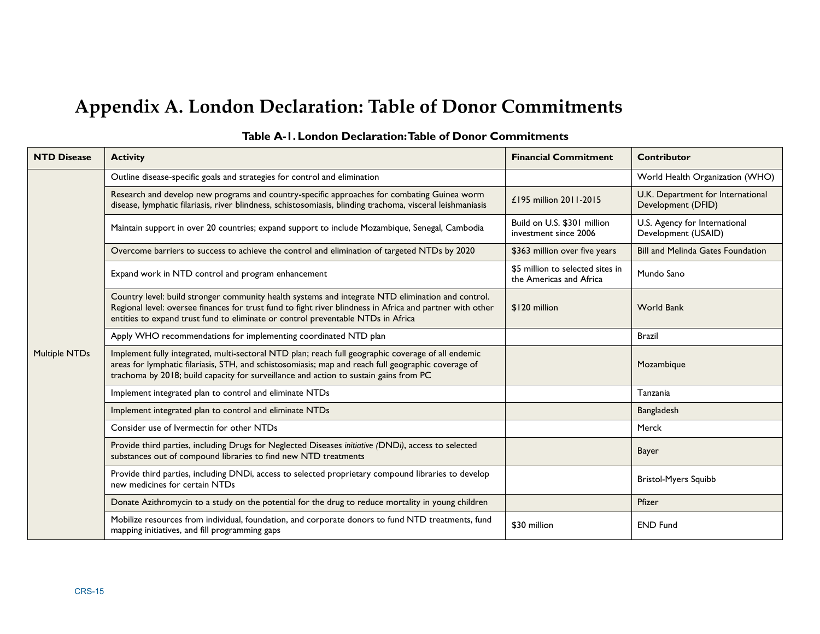# **Appendix A. London Declaration: Table of Donor Commitments**

| <b>NTD Disease</b>   | <b>Activity</b>                                                                                                                                                                                                                                                                                    | <b>Financial Commitment</b>                                 | <b>Contributor</b>                                      |
|----------------------|----------------------------------------------------------------------------------------------------------------------------------------------------------------------------------------------------------------------------------------------------------------------------------------------------|-------------------------------------------------------------|---------------------------------------------------------|
|                      | Outline disease-specific goals and strategies for control and elimination                                                                                                                                                                                                                          |                                                             | World Health Organization (WHO)                         |
|                      | Research and develop new programs and country-specific approaches for combating Guinea worm<br>disease, lymphatic filariasis, river blindness, schistosomiasis, blinding trachoma, visceral leishmaniasis                                                                                          | £195 million 2011-2015                                      | U.K. Department for International<br>Development (DFID) |
|                      | Maintain support in over 20 countries; expand support to include Mozambique, Senegal, Cambodia                                                                                                                                                                                                     | Build on U.S. \$301 million<br>investment since 2006        | U.S. Agency for International<br>Development (USAID)    |
|                      | Overcome barriers to success to achieve the control and elimination of targeted NTDs by 2020                                                                                                                                                                                                       | \$363 million over five years                               | <b>Bill and Melinda Gates Foundation</b>                |
|                      | Expand work in NTD control and program enhancement                                                                                                                                                                                                                                                 | \$5 million to selected sites in<br>the Americas and Africa | Mundo Sano                                              |
| <b>Multiple NTDs</b> | Country level: build stronger community health systems and integrate NTD elimination and control.<br>Regional level: oversee finances for trust fund to fight river blindness in Africa and partner with other<br>entities to expand trust fund to eliminate or control preventable NTDs in Africa | \$120 million                                               | <b>World Bank</b>                                       |
|                      | Apply WHO recommendations for implementing coordinated NTD plan                                                                                                                                                                                                                                    |                                                             | <b>Brazil</b>                                           |
|                      | Implement fully integrated, multi-sectoral NTD plan; reach full geographic coverage of all endemic<br>areas for lymphatic filariasis, STH, and schistosomiasis; map and reach full geographic coverage of<br>trachoma by 2018; build capacity for surveillance and action to sustain gains from PC |                                                             | Mozambique                                              |
|                      | Implement integrated plan to control and eliminate NTDs                                                                                                                                                                                                                                            |                                                             | Tanzania                                                |
|                      | Implement integrated plan to control and eliminate NTDs                                                                                                                                                                                                                                            |                                                             | Bangladesh                                              |
|                      | Consider use of Ivermectin for other NTDs                                                                                                                                                                                                                                                          |                                                             | Merck                                                   |
|                      | Provide third parties, including Drugs for Neglected Diseases initiative (DNDi), access to selected<br>substances out of compound libraries to find new NTD treatments                                                                                                                             |                                                             | <b>Bayer</b>                                            |
|                      | Provide third parties, including DNDi, access to selected proprietary compound libraries to develop<br>new medicines for certain NTDs                                                                                                                                                              |                                                             | <b>Bristol-Myers Squibb</b>                             |
|                      | Donate Azithromycin to a study on the potential for the drug to reduce mortality in young children                                                                                                                                                                                                 |                                                             | Pfizer                                                  |
|                      | Mobilize resources from individual, foundation, and corporate donors to fund NTD treatments, fund<br>mapping initiatives, and fill programming gaps                                                                                                                                                | \$30 million                                                | <b>END Fund</b>                                         |

#### **Table A-1. London Declaration: Table of Donor Commitments**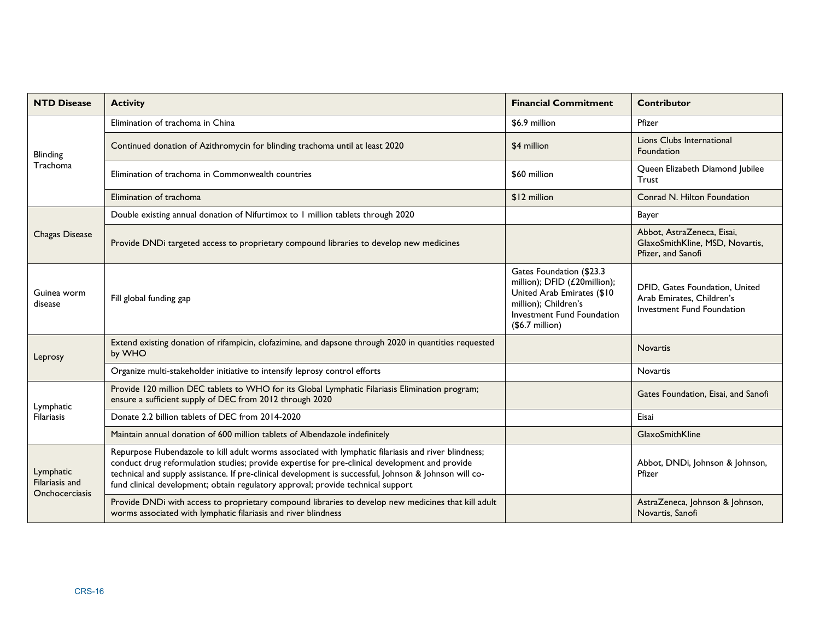| <b>NTD Disease</b>                                   | <b>Activity</b>                                                                                                                                                                                                                                                                                                                                                                                      | <b>Financial Commitment</b>                                                                                                                                      | <b>Contributor</b>                                                                        |
|------------------------------------------------------|------------------------------------------------------------------------------------------------------------------------------------------------------------------------------------------------------------------------------------------------------------------------------------------------------------------------------------------------------------------------------------------------------|------------------------------------------------------------------------------------------------------------------------------------------------------------------|-------------------------------------------------------------------------------------------|
| Blinding<br>Trachoma                                 | Elimination of trachoma in China                                                                                                                                                                                                                                                                                                                                                                     | \$6.9 million                                                                                                                                                    | Pfizer                                                                                    |
|                                                      | Continued donation of Azithromycin for blinding trachoma until at least 2020                                                                                                                                                                                                                                                                                                                         | \$4 million                                                                                                                                                      | Lions Clubs International<br>Foundation                                                   |
|                                                      | Elimination of trachoma in Commonwealth countries                                                                                                                                                                                                                                                                                                                                                    | \$60 million                                                                                                                                                     | Queen Elizabeth Diamond Jubilee<br>Trust                                                  |
|                                                      | Elimination of trachoma                                                                                                                                                                                                                                                                                                                                                                              | \$12 million                                                                                                                                                     | Conrad N. Hilton Foundation                                                               |
|                                                      | Double existing annual donation of Nifurtimox to 1 million tablets through 2020                                                                                                                                                                                                                                                                                                                      |                                                                                                                                                                  | Bayer                                                                                     |
| <b>Chagas Disease</b>                                | Provide DNDi targeted access to proprietary compound libraries to develop new medicines                                                                                                                                                                                                                                                                                                              |                                                                                                                                                                  | Abbot, AstraZeneca, Eisai,<br>GlaxoSmithKline, MSD, Novartis,<br>Pfizer, and Sanofi       |
| Guinea worm<br>disease                               | Fill global funding gap                                                                                                                                                                                                                                                                                                                                                                              | Gates Foundation (\$23.3<br>million); DFID (£20million);<br>United Arab Emirates (\$10<br>million); Children's<br>Investment Fund Foundation<br>$($6.7$ million) | DFID, Gates Foundation, United<br>Arab Emirates, Children's<br>Investment Fund Foundation |
| Leprosy                                              | Extend existing donation of rifampicin, clofazimine, and dapsone through 2020 in quantities requested<br>by WHO                                                                                                                                                                                                                                                                                      |                                                                                                                                                                  | Novartis                                                                                  |
|                                                      | Organize multi-stakeholder initiative to intensify leprosy control efforts                                                                                                                                                                                                                                                                                                                           |                                                                                                                                                                  | Novartis                                                                                  |
| Lymphatic<br><b>Filariasis</b>                       | Provide 120 million DEC tablets to WHO for its Global Lymphatic Filariasis Elimination program;<br>ensure a sufficient supply of DEC from 2012 through 2020                                                                                                                                                                                                                                          |                                                                                                                                                                  | Gates Foundation, Eisai, and Sanofi                                                       |
|                                                      | Donate 2.2 billion tablets of DEC from 2014-2020                                                                                                                                                                                                                                                                                                                                                     |                                                                                                                                                                  | Eisai                                                                                     |
|                                                      | Maintain annual donation of 600 million tablets of Albendazole indefinitely                                                                                                                                                                                                                                                                                                                          |                                                                                                                                                                  | GlaxoSmithKline                                                                           |
| Lymphatic<br>Filariasis and<br><b>Onchocerciasis</b> | Repurpose Flubendazole to kill adult worms associated with lymphatic filariasis and river blindness;<br>conduct drug reformulation studies; provide expertise for pre-clinical development and provide<br>technical and supply assistance. If pre-clinical development is successful, Johnson & Johnson will co-<br>fund clinical development; obtain regulatory approval; provide technical support |                                                                                                                                                                  | Abbot, DNDi, Johnson & Johnson,<br>Pfizer                                                 |
|                                                      | Provide DNDi with access to proprietary compound libraries to develop new medicines that kill adult<br>worms associated with lymphatic filariasis and river blindness                                                                                                                                                                                                                                |                                                                                                                                                                  | AstraZeneca, Johnson & Johnson,<br>Novartis, Sanofi                                       |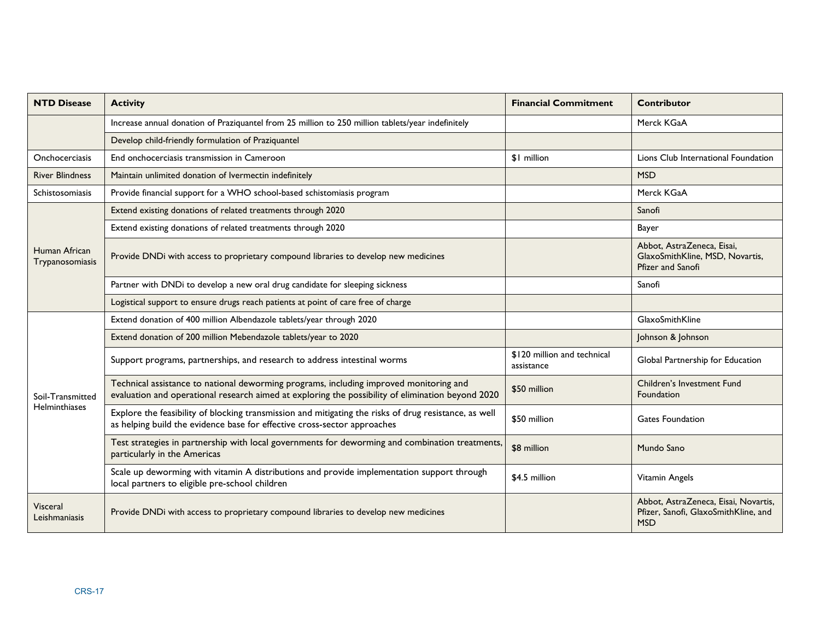| <b>NTD Disease</b>                | <b>Activity</b>                                                                                                                                                                             | <b>Financial Commitment</b>               | <b>Contributor</b>                                                                         |
|-----------------------------------|---------------------------------------------------------------------------------------------------------------------------------------------------------------------------------------------|-------------------------------------------|--------------------------------------------------------------------------------------------|
|                                   | Increase annual donation of Praziquantel from 25 million to 250 million tablets/year indefinitely                                                                                           |                                           | Merck KGaA                                                                                 |
|                                   | Develop child-friendly formulation of Praziquantel                                                                                                                                          |                                           |                                                                                            |
| <b>Onchocerciasis</b>             | End onchocerciasis transmission in Cameroon                                                                                                                                                 | \$1 million                               | Lions Club International Foundation                                                        |
| <b>River Blindness</b>            | Maintain unlimited donation of Ivermectin indefinitely                                                                                                                                      |                                           | <b>MSD</b>                                                                                 |
| Schistosomiasis                   | Provide financial support for a WHO school-based schistomiasis program                                                                                                                      |                                           | Merck KGaA                                                                                 |
|                                   | Extend existing donations of related treatments through 2020                                                                                                                                |                                           | Sanofi                                                                                     |
|                                   | Extend existing donations of related treatments through 2020                                                                                                                                |                                           | Bayer                                                                                      |
| Human African<br>Trypanosomiasis  | Provide DNDi with access to proprietary compound libraries to develop new medicines                                                                                                         |                                           | Abbot, AstraZeneca, Eisai,<br>GlaxoSmithKline, MSD, Novartis,<br>Pfizer and Sanofi         |
|                                   | Partner with DNDi to develop a new oral drug candidate for sleeping sickness                                                                                                                |                                           | Sanofi                                                                                     |
|                                   | Logistical support to ensure drugs reach patients at point of care free of charge                                                                                                           |                                           |                                                                                            |
|                                   | Extend donation of 400 million Albendazole tablets/year through 2020                                                                                                                        |                                           | GlaxoSmithKline                                                                            |
|                                   | Extend donation of 200 million Mebendazole tablets/year to 2020                                                                                                                             |                                           | Johnson & Johnson                                                                          |
|                                   | Support programs, partnerships, and research to address intestinal worms                                                                                                                    | \$120 million and technical<br>assistance | Global Partnership for Education                                                           |
| Soil-Transmitted<br>Helminthiases | Technical assistance to national deworming programs, including improved monitoring and<br>evaluation and operational research aimed at exploring the possibility of elimination beyond 2020 | \$50 million                              | Children's Investment Fund<br>Foundation                                                   |
|                                   | Explore the feasibility of blocking transmission and mitigating the risks of drug resistance, as well<br>as helping build the evidence base for effective cross-sector approaches           | \$50 million                              | <b>Gates Foundation</b>                                                                    |
|                                   | Test strategies in partnership with local governments for deworming and combination treatments,<br>particularly in the Americas                                                             | \$8 million                               | Mundo Sano                                                                                 |
|                                   | Scale up deworming with vitamin A distributions and provide implementation support through<br>local partners to eligible pre-school children                                                | \$4.5 million                             | Vitamin Angels                                                                             |
| Visceral<br>Leishmaniasis         | Provide DNDi with access to proprietary compound libraries to develop new medicines                                                                                                         |                                           | Abbot, AstraZeneca, Eisai, Novartis,<br>Pfizer, Sanofi, GlaxoSmithKline, and<br><b>MSD</b> |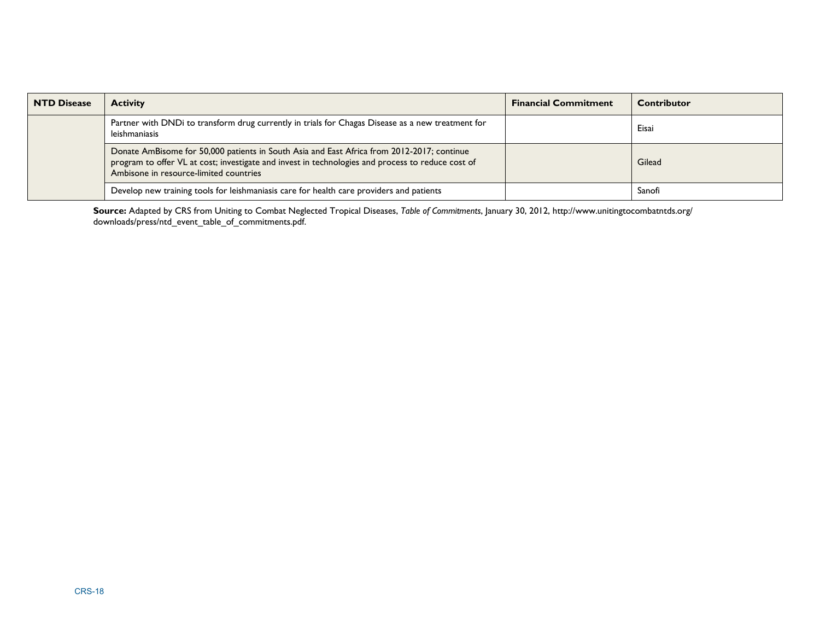| <b>NTD Disease</b> | <b>Activity</b>                                                                                                                                                                                                                           | <b>Financial Commitment</b> | <b>Contributor</b> |
|--------------------|-------------------------------------------------------------------------------------------------------------------------------------------------------------------------------------------------------------------------------------------|-----------------------------|--------------------|
|                    | Partner with DND to transform drug currently in trials for Chagas Disease as a new treatment for<br>leishmaniasis                                                                                                                         |                             | Eisai              |
|                    | Donate AmBisome for 50,000 patients in South Asia and East Africa from 2012-2017; continue<br>program to offer VL at cost; investigate and invest in technologies and process to reduce cost of<br>Ambisone in resource-limited countries |                             | Gilead             |
|                    | Develop new training tools for leishmaniasis care for health care providers and patients                                                                                                                                                  |                             | Sanofi             |

**Source:** Adapted by CRS from Uniting to Combat Neglected Tropical Diseases, *Table of Commitments*, January 30, 2012, http://www.unitingtocombatntds.org/ downloads/press/ntd\_event\_table\_of\_commitments.pdf.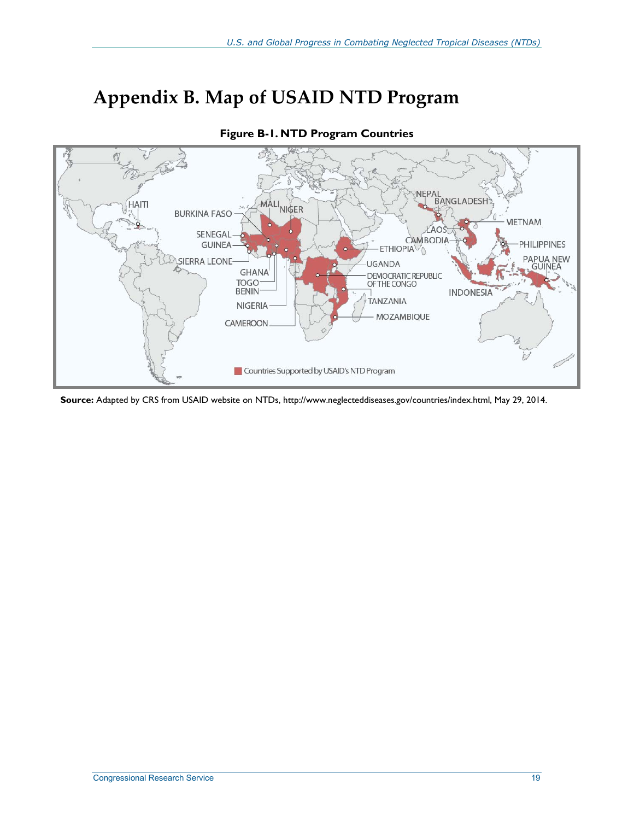# **Appendix B. Map of USAID NTD Program**



**Figure B-1. NTD Program Countries** 

**Source:** Adapted by CRS from USAID website on NTDs, http://www.neglecteddiseases.gov/countries/index.html, May 29, 2014.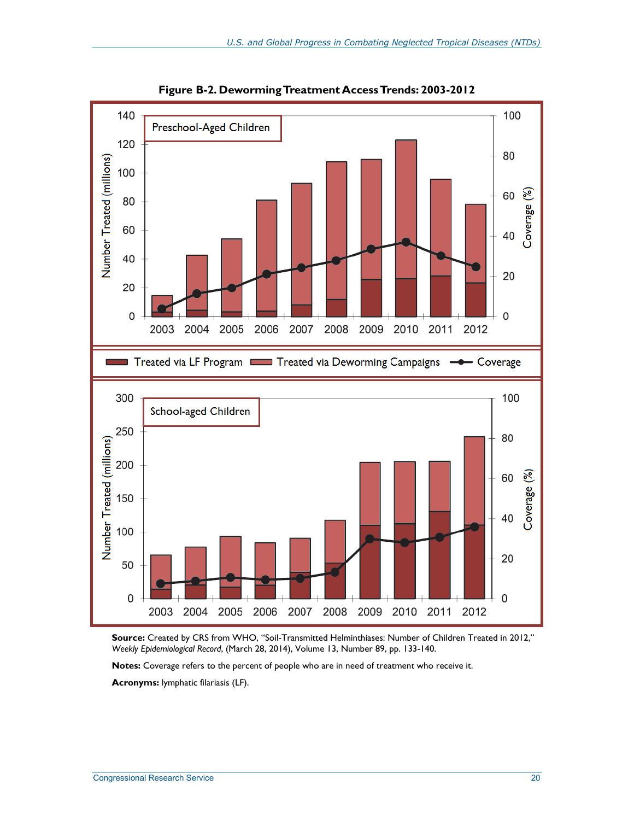

**Figure B-2. Deworming Treatment Access Trends: 2003-2012** 

**Source:** Created by CRS from WHO, "Soil-Transmitted Helminthiases: Number of Children Treated in 2012," *Weekly Epidemiological Record*, (March 28, 2014), Volume 13, Number 89, pp. 133-140.

**Notes:** Coverage refers to the percent of people who are in need of treatment who receive it.

**Acronyms:** lymphatic filariasis (LF).